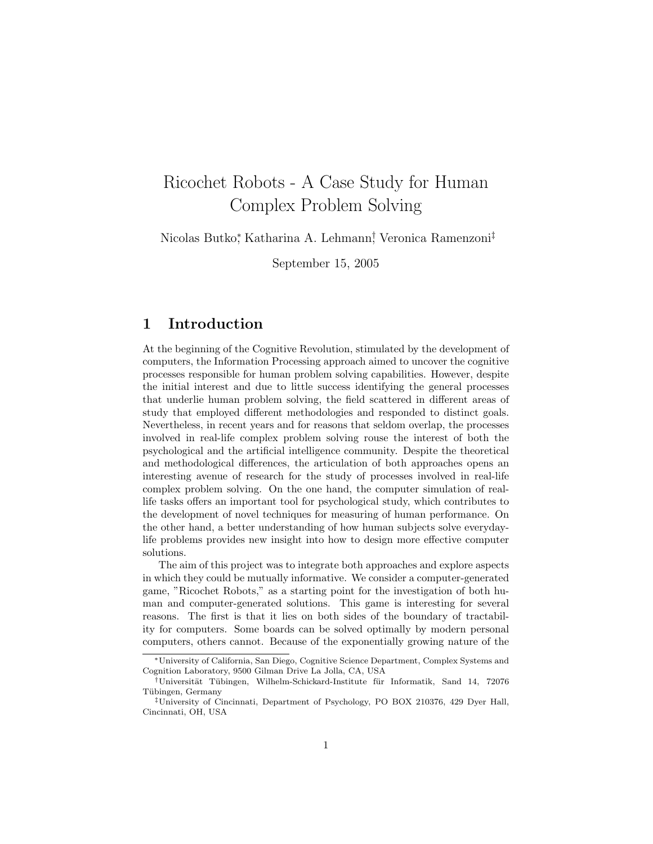# Ricochet Robots - A Case Study for Human Complex Problem Solving

Nicolas Butko<sup>∗</sup> , Katharina A. Lehmann† , Veronica Ramenzoni‡

September 15, 2005

# 1 Introduction

At the beginning of the Cognitive Revolution, stimulated by the development of computers, the Information Processing approach aimed to uncover the cognitive processes responsible for human problem solving capabilities. However, despite the initial interest and due to little success identifying the general processes that underlie human problem solving, the field scattered in different areas of study that employed different methodologies and responded to distinct goals. Nevertheless, in recent years and for reasons that seldom overlap, the processes involved in real-life complex problem solving rouse the interest of both the psychological and the artificial intelligence community. Despite the theoretical and methodological differences, the articulation of both approaches opens an interesting avenue of research for the study of processes involved in real-life complex problem solving. On the one hand, the computer simulation of reallife tasks offers an important tool for psychological study, which contributes to the development of novel techniques for measuring of human performance. On the other hand, a better understanding of how human subjects solve everydaylife problems provides new insight into how to design more effective computer solutions.

The aim of this project was to integrate both approaches and explore aspects in which they could be mutually informative. We consider a computer-generated game, "Ricochet Robots," as a starting point for the investigation of both human and computer-generated solutions. This game is interesting for several reasons. The first is that it lies on both sides of the boundary of tractability for computers. Some boards can be solved optimally by modern personal computers, others cannot. Because of the exponentially growing nature of the

<sup>∗</sup>University of California, San Diego, Cognitive Science Department, Complex Systems and Cognition Laboratory, 9500 Gilman Drive La Jolla, CA, USA

<sup>†</sup>Universit¨at T¨ubingen, Wilhelm-Schickard-Institute f¨ur Informatik, Sand 14, 72076 Tübingen, Germany

<sup>‡</sup>University of Cincinnati, Department of Psychology, PO BOX 210376, 429 Dyer Hall, Cincinnati, OH, USA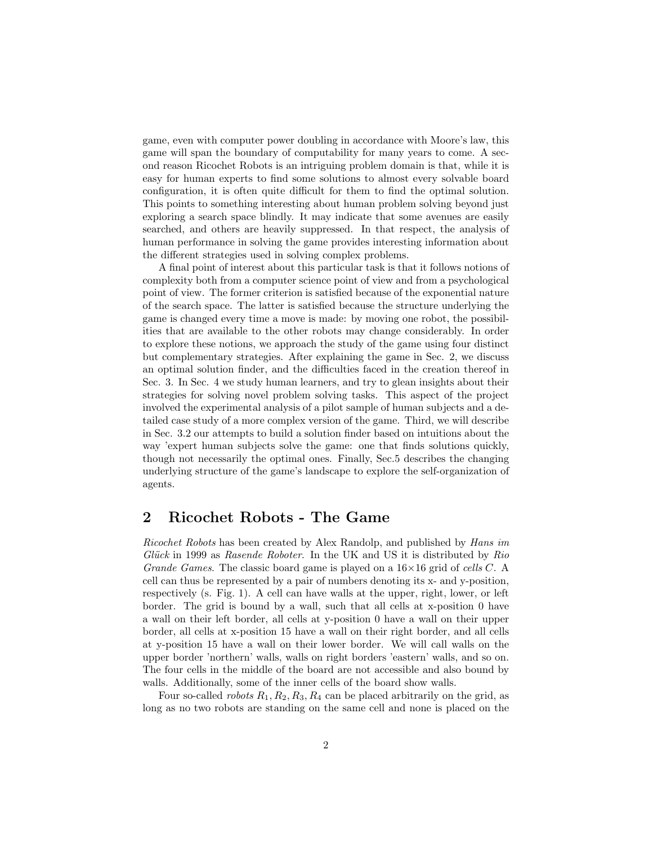game, even with computer power doubling in accordance with Moore's law, this game will span the boundary of computability for many years to come. A second reason Ricochet Robots is an intriguing problem domain is that, while it is easy for human experts to find some solutions to almost every solvable board configuration, it is often quite difficult for them to find the optimal solution. This points to something interesting about human problem solving beyond just exploring a search space blindly. It may indicate that some avenues are easily searched, and others are heavily suppressed. In that respect, the analysis of human performance in solving the game provides interesting information about the different strategies used in solving complex problems.

A final point of interest about this particular task is that it follows notions of complexity both from a computer science point of view and from a psychological point of view. The former criterion is satisfied because of the exponential nature of the search space. The latter is satisfied because the structure underlying the game is changed every time a move is made: by moving one robot, the possibilities that are available to the other robots may change considerably. In order to explore these notions, we approach the study of the game using four distinct but complementary strategies. After explaining the game in Sec. 2, we discuss an optimal solution finder, and the difficulties faced in the creation thereof in Sec. 3. In Sec. 4 we study human learners, and try to glean insights about their strategies for solving novel problem solving tasks. This aspect of the project involved the experimental analysis of a pilot sample of human subjects and a detailed case study of a more complex version of the game. Third, we will describe in Sec. 3.2 our attempts to build a solution finder based on intuitions about the way 'expert human subjects solve the game: one that finds solutions quickly, though not necessarily the optimal ones. Finally, Sec.5 describes the changing underlying structure of the game's landscape to explore the self-organization of agents.

# 2 Ricochet Robots - The Game

Ricochet Robots has been created by Alex Randolp, and published by Hans im Glück in 1999 as Rasende Roboter. In the UK and US it is distributed by  $Rio$ Grande Games. The classic board game is played on a  $16\times16$  grid of cells C. A cell can thus be represented by a pair of numbers denoting its x- and y-position, respectively (s. Fig. 1). A cell can have walls at the upper, right, lower, or left border. The grid is bound by a wall, such that all cells at x-position 0 have a wall on their left border, all cells at y-position 0 have a wall on their upper border, all cells at x-position 15 have a wall on their right border, and all cells at y-position 15 have a wall on their lower border. We will call walls on the upper border 'northern' walls, walls on right borders 'eastern' walls, and so on. The four cells in the middle of the board are not accessible and also bound by walls. Additionally, some of the inner cells of the board show walls.

Four so-called *robots*  $R_1, R_2, R_3, R_4$  can be placed arbitrarily on the grid, as long as no two robots are standing on the same cell and none is placed on the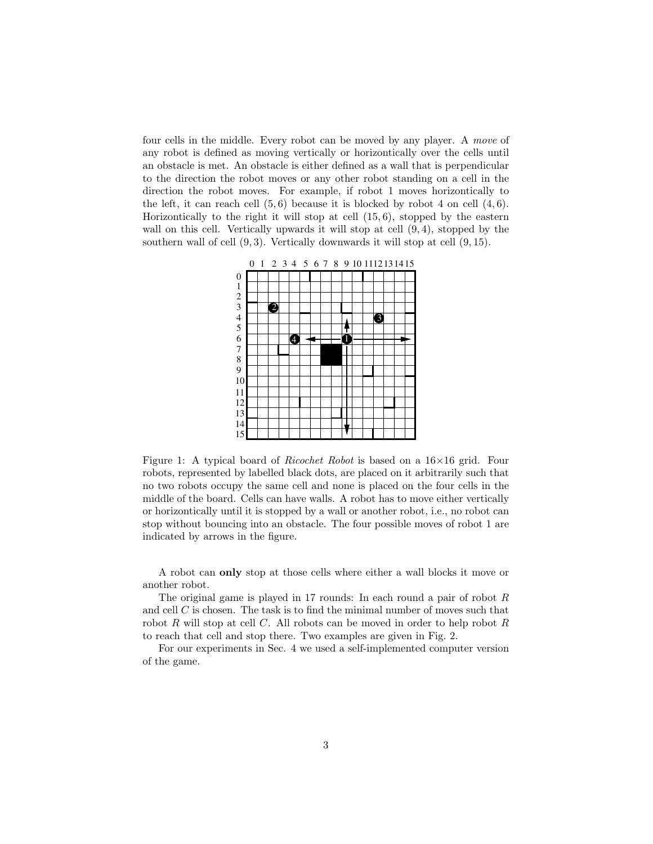four cells in the middle. Every robot can be moved by any player. A move of any robot is defined as moving vertically or horizontically over the cells until an obstacle is met. An obstacle is either defined as a wall that is perpendicular to the direction the robot moves or any other robot standing on a cell in the direction the robot moves. For example, if robot 1 moves horizontically to the left, it can reach cell  $(5, 6)$  because it is blocked by robot 4 on cell  $(4, 6)$ . Horizontically to the right it will stop at cell  $(15, 6)$ , stopped by the eastern wall on this cell. Vertically upwards it will stop at cell  $(9, 4)$ , stopped by the southern wall of cell  $(9, 3)$ . Vertically downwards it will stop at cell  $(9, 15)$ .



Figure 1: A typical board of Ricochet Robot is based on a 16×16 grid. Four robots, represented by labelled black dots, are placed on it arbitrarily such that no two robots occupy the same cell and none is placed on the four cells in the middle of the board. Cells can have walls. A robot has to move either vertically or horizontically until it is stopped by a wall or another robot, i.e., no robot can stop without bouncing into an obstacle. The four possible moves of robot 1 are indicated by arrows in the figure.

A robot can only stop at those cells where either a wall blocks it move or another robot.

The original game is played in 17 rounds: In each round a pair of robot  $R$ and cell  $C$  is chosen. The task is to find the minimal number of moves such that robot R will stop at cell C. All robots can be moved in order to help robot R to reach that cell and stop there. Two examples are given in Fig. 2.

For our experiments in Sec. 4 we used a self-implemented computer version of the game.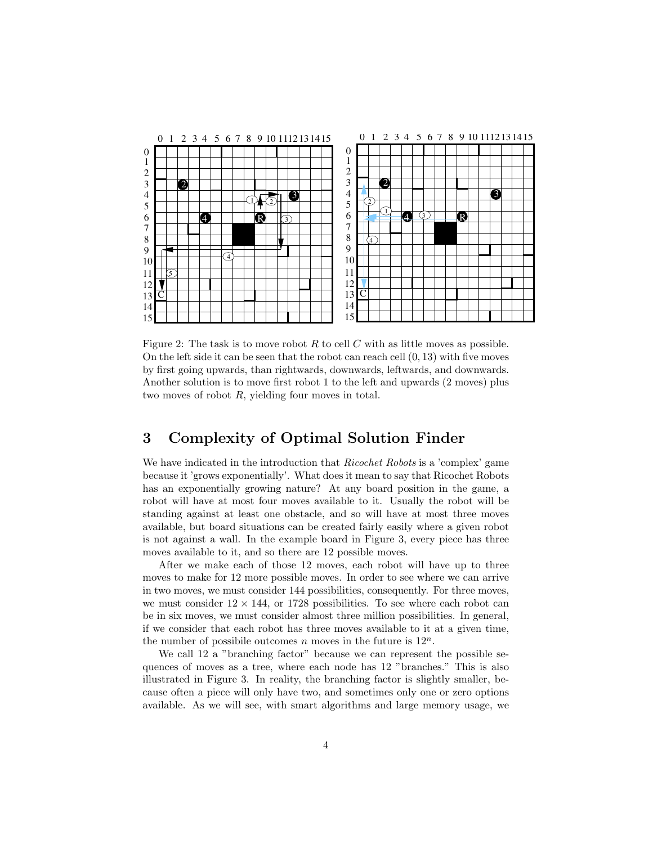

Figure 2: The task is to move robot  $R$  to cell  $C$  with as little moves as possible. On the left side it can be seen that the robot can reach cell  $(0, 13)$  with five moves by first going upwards, than rightwards, downwards, leftwards, and downwards. Another solution is to move first robot 1 to the left and upwards (2 moves) plus two moves of robot R, yielding four moves in total.

# 3 Complexity of Optimal Solution Finder

We have indicated in the introduction that *Ricochet Robots* is a 'complex' game because it 'grows exponentially'. What does it mean to say that Ricochet Robots has an exponentially growing nature? At any board position in the game, a robot will have at most four moves available to it. Usually the robot will be standing against at least one obstacle, and so will have at most three moves available, but board situations can be created fairly easily where a given robot is not against a wall. In the example board in Figure 3, every piece has three moves available to it, and so there are 12 possible moves.

After we make each of those 12 moves, each robot will have up to three moves to make for 12 more possible moves. In order to see where we can arrive in two moves, we must consider 144 possibilities, consequently. For three moves, we must consider  $12 \times 144$ , or 1728 possibilities. To see where each robot can be in six moves, we must consider almost three million possibilities. In general, if we consider that each robot has three moves available to it at a given time, the number of possibile outcomes n moves in the future is  $12^n$ .

We call 12 a "branching factor" because we can represent the possible sequences of moves as a tree, where each node has 12 "branches." This is also illustrated in Figure 3. In reality, the branching factor is slightly smaller, because often a piece will only have two, and sometimes only one or zero options available. As we will see, with smart algorithms and large memory usage, we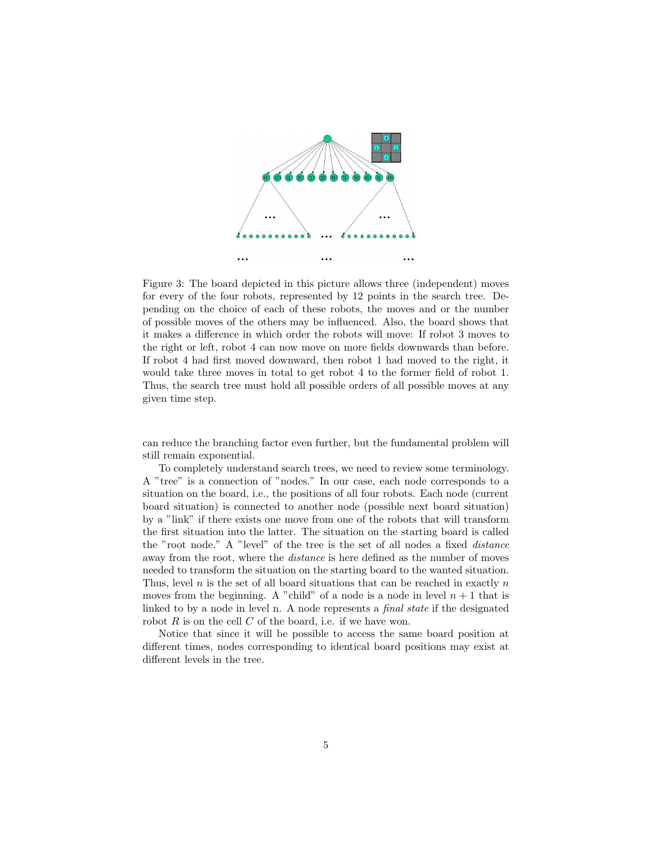

Figure 3: The board depicted in this picture allows three (independent) moves for every of the four robots, represented by 12 points in the search tree. Depending on the choice of each of these robots, the moves and or the number of possible moves of the others may be influenced. Also, the board shows that it makes a difference in which order the robots will move: If robot 3 moves to the right or left, robot 4 can now move on more fields downwards than before. If robot 4 had first moved downward, then robot 1 had moved to the right, it would take three moves in total to get robot 4 to the former field of robot 1. Thus, the search tree must hold all possible orders of all possible moves at any given time step.

can reduce the branching factor even further, but the fundamental problem will still remain exponential.

To completely understand search trees, we need to review some terminology. A "tree" is a connection of "nodes." In our case, each node corresponds to a situation on the board, i.e., the positions of all four robots. Each node (current board situation) is connected to another node (possible next board situation) by a "link" if there exists one move from one of the robots that will transform the first situation into the latter. The situation on the starting board is called the "root node." A "level" of the tree is the set of all nodes a fixed distance away from the root, where the distance is here defined as the number of moves needed to transform the situation on the starting board to the wanted situation. Thus, level  $n$  is the set of all board situations that can be reached in exactly  $n$ moves from the beginning. A "child" of a node is a node in level  $n + 1$  that is linked to by a node in level n. A node represents a final state if the designated robot  $R$  is on the cell  $C$  of the board, i.e. if we have won.

Notice that since it will be possible to access the same board position at different times, nodes corresponding to identical board positions may exist at different levels in the tree.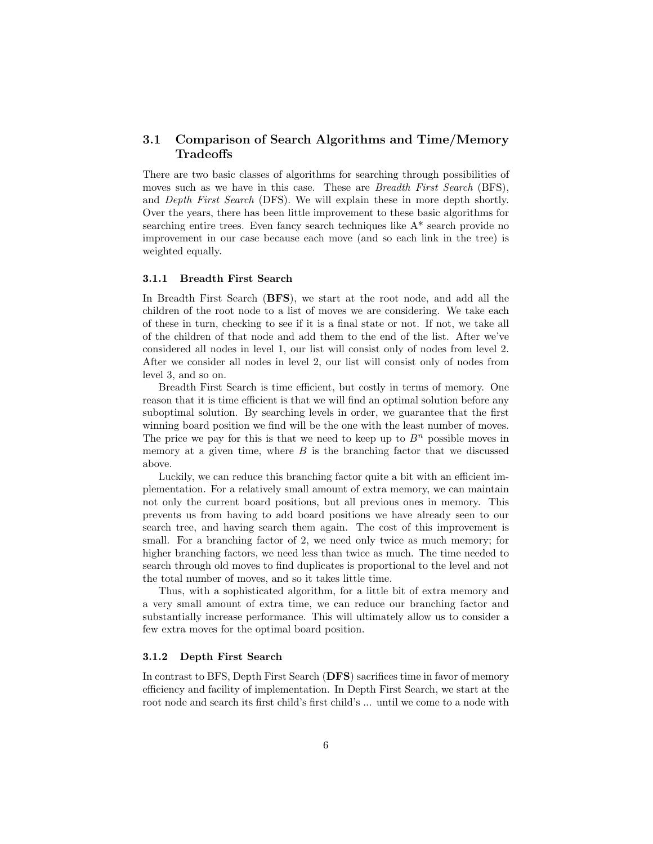## 3.1 Comparison of Search Algorithms and Time/Memory **Tradeoffs**

There are two basic classes of algorithms for searching through possibilities of moves such as we have in this case. These are *Breadth First Search* (BFS), and Depth First Search (DFS). We will explain these in more depth shortly. Over the years, there has been little improvement to these basic algorithms for searching entire trees. Even fancy search techniques like A\* search provide no improvement in our case because each move (and so each link in the tree) is weighted equally.

## 3.1.1 Breadth First Search

In Breadth First Search (BFS), we start at the root node, and add all the children of the root node to a list of moves we are considering. We take each of these in turn, checking to see if it is a final state or not. If not, we take all of the children of that node and add them to the end of the list. After we've considered all nodes in level 1, our list will consist only of nodes from level 2. After we consider all nodes in level 2, our list will consist only of nodes from level 3, and so on.

Breadth First Search is time efficient, but costly in terms of memory. One reason that it is time efficient is that we will find an optimal solution before any suboptimal solution. By searching levels in order, we guarantee that the first winning board position we find will be the one with the least number of moves. The price we pay for this is that we need to keep up to  $B<sup>n</sup>$  possible moves in memory at a given time, where  $B$  is the branching factor that we discussed above.

Luckily, we can reduce this branching factor quite a bit with an efficient implementation. For a relatively small amount of extra memory, we can maintain not only the current board positions, but all previous ones in memory. This prevents us from having to add board positions we have already seen to our search tree, and having search them again. The cost of this improvement is small. For a branching factor of 2, we need only twice as much memory; for higher branching factors, we need less than twice as much. The time needed to search through old moves to find duplicates is proportional to the level and not the total number of moves, and so it takes little time.

Thus, with a sophisticated algorithm, for a little bit of extra memory and a very small amount of extra time, we can reduce our branching factor and substantially increase performance. This will ultimately allow us to consider a few extra moves for the optimal board position.

#### 3.1.2 Depth First Search

In contrast to BFS, Depth First Search (DFS) sacrifices time in favor of memory efficiency and facility of implementation. In Depth First Search, we start at the root node and search its first child's first child's ... until we come to a node with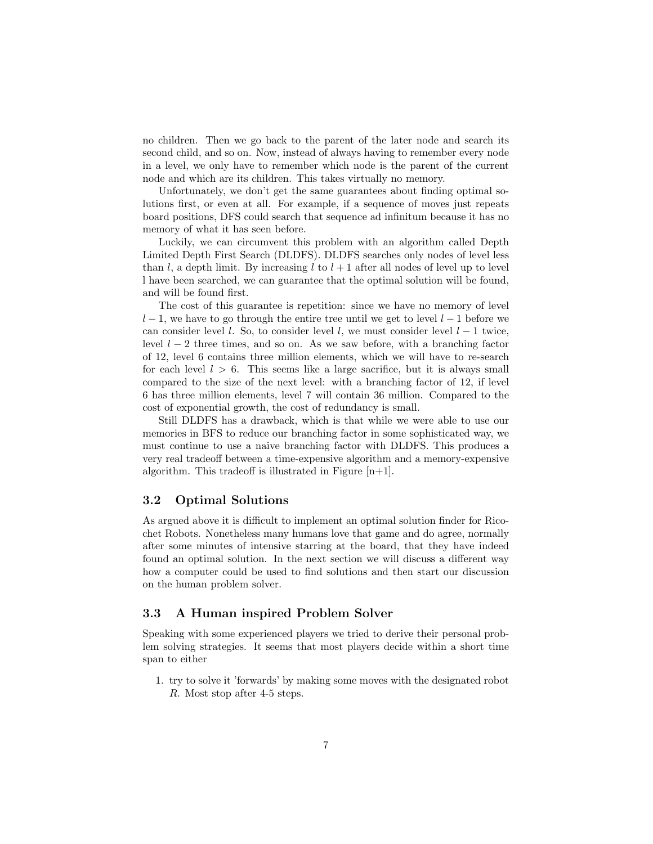no children. Then we go back to the parent of the later node and search its second child, and so on. Now, instead of always having to remember every node in a level, we only have to remember which node is the parent of the current node and which are its children. This takes virtually no memory.

Unfortunately, we don't get the same guarantees about finding optimal solutions first, or even at all. For example, if a sequence of moves just repeats board positions, DFS could search that sequence ad infinitum because it has no memory of what it has seen before.

Luckily, we can circumvent this problem with an algorithm called Depth Limited Depth First Search (DLDFS). DLDFS searches only nodes of level less than l, a depth limit. By increasing l to  $l + 1$  after all nodes of level up to level l have been searched, we can guarantee that the optimal solution will be found, and will be found first.

The cost of this guarantee is repetition: since we have no memory of level  $l-1$ , we have to go through the entire tree until we get to level  $l-1$  before we can consider level l. So, to consider level l, we must consider level  $l - 1$  twice, level  $l - 2$  three times, and so on. As we saw before, with a branching factor of 12, level 6 contains three million elements, which we will have to re-search for each level  $l > 6$ . This seems like a large sacrifice, but it is always small compared to the size of the next level: with a branching factor of 12, if level 6 has three million elements, level 7 will contain 36 million. Compared to the cost of exponential growth, the cost of redundancy is small.

Still DLDFS has a drawback, which is that while we were able to use our memories in BFS to reduce our branching factor in some sophisticated way, we must continue to use a naive branching factor with DLDFS. This produces a very real tradeoff between a time-expensive algorithm and a memory-expensive algorithm. This tradeoff is illustrated in Figure  $[n+1]$ .

## 3.2 Optimal Solutions

As argued above it is difficult to implement an optimal solution finder for Ricochet Robots. Nonetheless many humans love that game and do agree, normally after some minutes of intensive starring at the board, that they have indeed found an optimal solution. In the next section we will discuss a different way how a computer could be used to find solutions and then start our discussion on the human problem solver.

## 3.3 A Human inspired Problem Solver

Speaking with some experienced players we tried to derive their personal problem solving strategies. It seems that most players decide within a short time span to either

1. try to solve it 'forwards' by making some moves with the designated robot R. Most stop after 4-5 steps.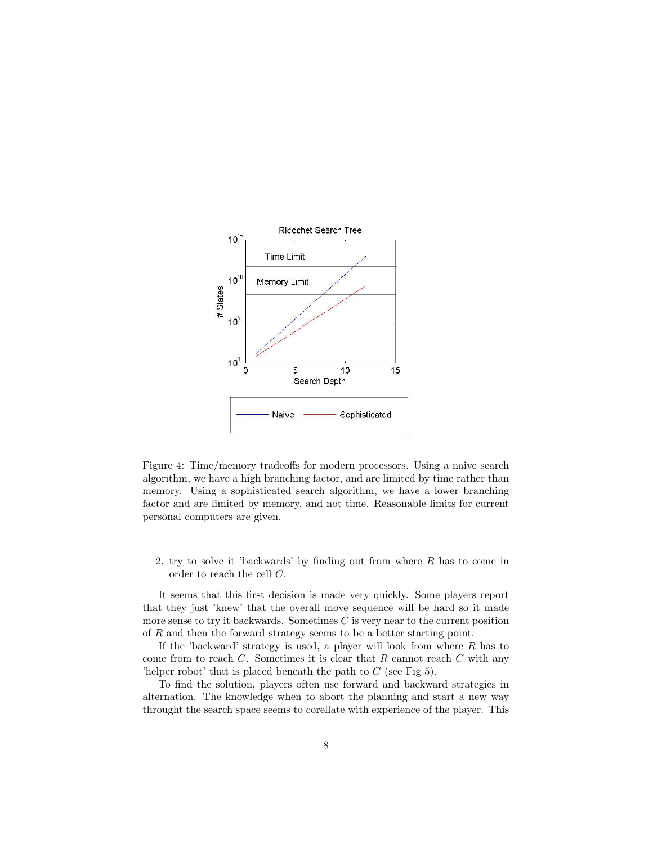

Figure 4: Time/memory tradeoffs for modern processors. Using a naive search algorithm, we have a high branching factor, and are limited by time rather than memory. Using a sophisticated search algorithm, we have a lower branching factor and are limited by memory, and not time. Reasonable limits for current personal computers are given.

2. try to solve it 'backwards' by finding out from where R has to come in order to reach the cell C.

It seems that this first decision is made very quickly. Some players report that they just 'knew' that the overall move sequence will be hard so it made more sense to try it backwards. Sometimes  $C$  is very near to the current position of R and then the forward strategy seems to be a better starting point.

If the 'backward' strategy is used, a player will look from where  $R$  has to come from to reach  $C$ . Sometimes it is clear that  $R$  cannot reach  $C$  with any 'helper robot' that is placed beneath the path to  $C$  (see Fig 5).

To find the solution, players often use forward and backward strategies in alternation. The knowledge when to abort the planning and start a new way throught the search space seems to corellate with experience of the player. This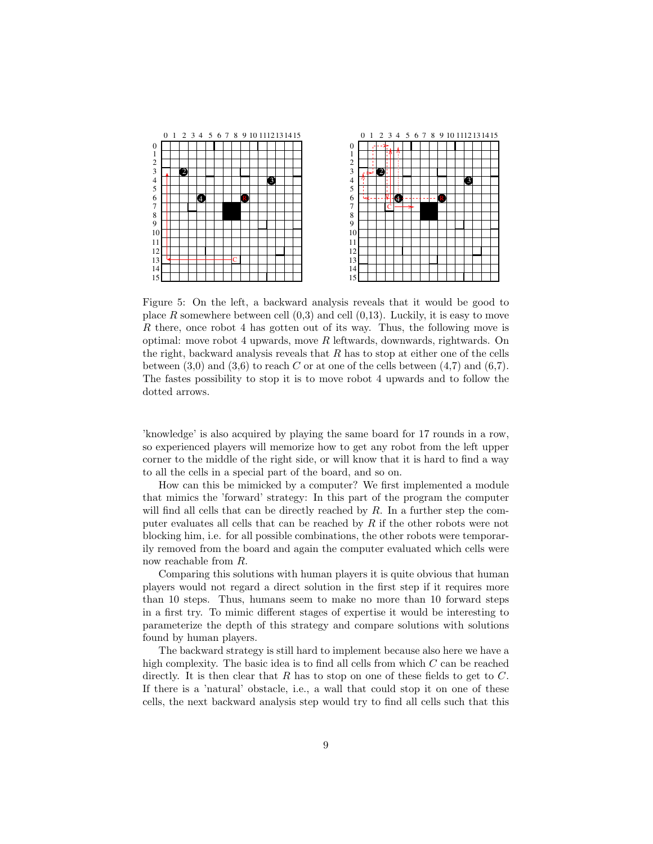

Figure 5: On the left, a backward analysis reveals that it would be good to place R somewhere between cell  $(0,3)$  and cell  $(0,13)$ . Luckily, it is easy to move R there, once robot 4 has gotten out of its way. Thus, the following move is optimal: move robot 4 upwards, move  $R$  leftwards, downwards, rightwards. On the right, backward analysis reveals that  $R$  has to stop at either one of the cells between  $(3,0)$  and  $(3,6)$  to reach C or at one of the cells between  $(4,7)$  and  $(6,7)$ . The fastes possibility to stop it is to move robot 4 upwards and to follow the dotted arrows.

'knowledge' is also acquired by playing the same board for 17 rounds in a row, so experienced players will memorize how to get any robot from the left upper corner to the middle of the right side, or will know that it is hard to find a way to all the cells in a special part of the board, and so on.

How can this be mimicked by a computer? We first implemented a module that mimics the 'forward' strategy: In this part of the program the computer will find all cells that can be directly reached by  $R$ . In a further step the computer evaluates all cells that can be reached by R if the other robots were not blocking him, i.e. for all possible combinations, the other robots were temporarily removed from the board and again the computer evaluated which cells were now reachable from R.

Comparing this solutions with human players it is quite obvious that human players would not regard a direct solution in the first step if it requires more than 10 steps. Thus, humans seem to make no more than 10 forward steps in a first try. To mimic different stages of expertise it would be interesting to parameterize the depth of this strategy and compare solutions with solutions found by human players.

The backward strategy is still hard to implement because also here we have a high complexity. The basic idea is to find all cells from which C can be reached directly. It is then clear that  $R$  has to stop on one of these fields to get to  $C$ . If there is a 'natural' obstacle, i.e., a wall that could stop it on one of these cells, the next backward analysis step would try to find all cells such that this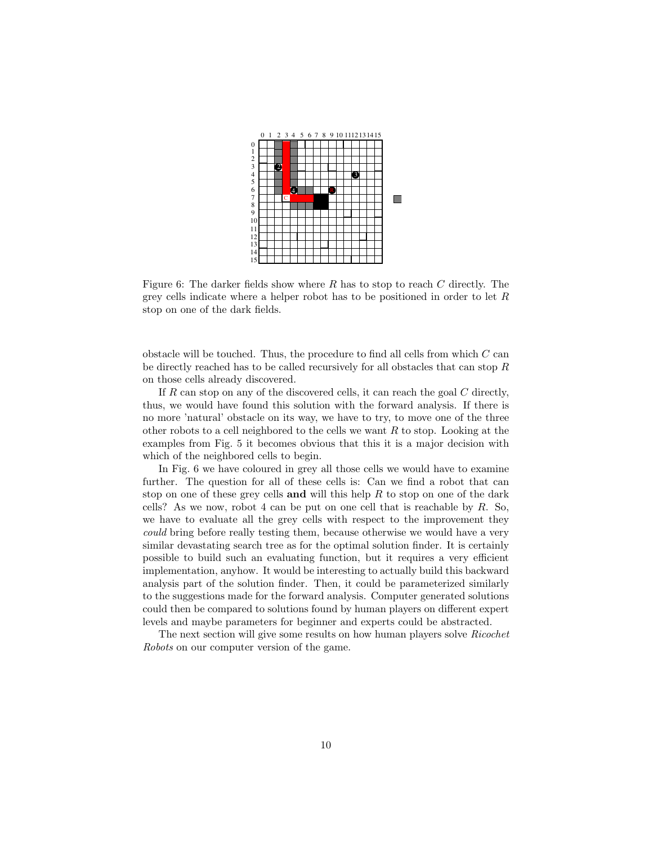

Figure 6: The darker fields show where  $R$  has to stop to reach  $C$  directly. The grey cells indicate where a helper robot has to be positioned in order to let  $R$ stop on one of the dark fields.

obstacle will be touched. Thus, the procedure to find all cells from which  $C$  can be directly reached has to be called recursively for all obstacles that can stop R on those cells already discovered.

If  $R$  can stop on any of the discovered cells, it can reach the goal  $C$  directly, thus, we would have found this solution with the forward analysis. If there is no more 'natural' obstacle on its way, we have to try, to move one of the three other robots to a cell neighbored to the cells we want  $R$  to stop. Looking at the examples from Fig. 5 it becomes obvious that this it is a major decision with which of the neighbored cells to begin.

In Fig. 6 we have coloured in grey all those cells we would have to examine further. The question for all of these cells is: Can we find a robot that can stop on one of these grey cells and will this help  $R$  to stop on one of the dark cells? As we now, robot 4 can be put on one cell that is reachable by  $R$ . So, we have to evaluate all the grey cells with respect to the improvement they could bring before really testing them, because otherwise we would have a very similar devastating search tree as for the optimal solution finder. It is certainly possible to build such an evaluating function, but it requires a very efficient implementation, anyhow. It would be interesting to actually build this backward analysis part of the solution finder. Then, it could be parameterized similarly to the suggestions made for the forward analysis. Computer generated solutions could then be compared to solutions found by human players on different expert levels and maybe parameters for beginner and experts could be abstracted.

The next section will give some results on how human players solve Ricochet Robots on our computer version of the game.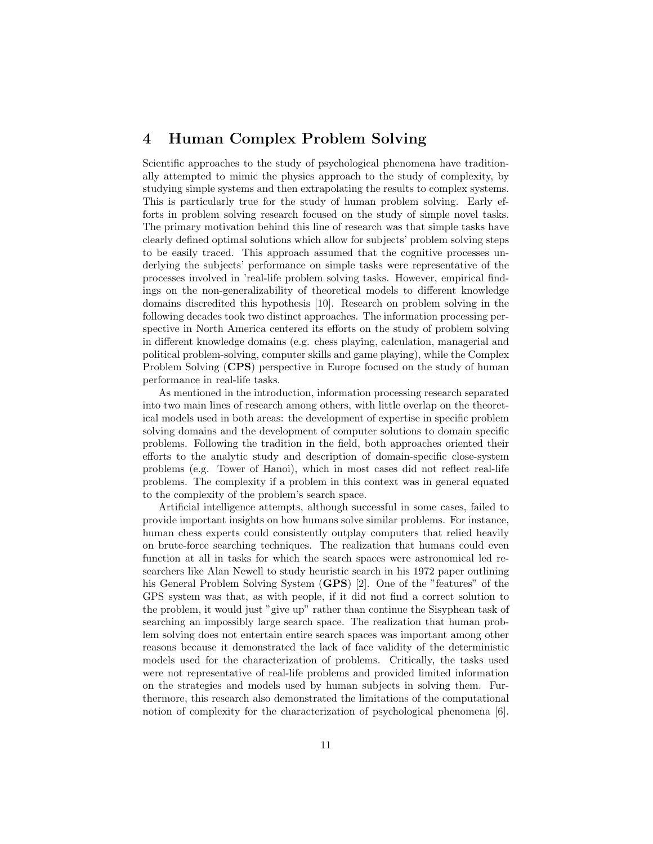# 4 Human Complex Problem Solving

Scientific approaches to the study of psychological phenomena have traditionally attempted to mimic the physics approach to the study of complexity, by studying simple systems and then extrapolating the results to complex systems. This is particularly true for the study of human problem solving. Early efforts in problem solving research focused on the study of simple novel tasks. The primary motivation behind this line of research was that simple tasks have clearly defined optimal solutions which allow for subjects' problem solving steps to be easily traced. This approach assumed that the cognitive processes underlying the subjects' performance on simple tasks were representative of the processes involved in 'real-life problem solving tasks. However, empirical findings on the non-generalizability of theoretical models to different knowledge domains discredited this hypothesis [10]. Research on problem solving in the following decades took two distinct approaches. The information processing perspective in North America centered its efforts on the study of problem solving in different knowledge domains (e.g. chess playing, calculation, managerial and political problem-solving, computer skills and game playing), while the Complex Problem Solving (CPS) perspective in Europe focused on the study of human performance in real-life tasks.

As mentioned in the introduction, information processing research separated into two main lines of research among others, with little overlap on the theoretical models used in both areas: the development of expertise in specific problem solving domains and the development of computer solutions to domain specific problems. Following the tradition in the field, both approaches oriented their efforts to the analytic study and description of domain-specific close-system problems (e.g. Tower of Hanoi), which in most cases did not reflect real-life problems. The complexity if a problem in this context was in general equated to the complexity of the problem's search space.

Artificial intelligence attempts, although successful in some cases, failed to provide important insights on how humans solve similar problems. For instance, human chess experts could consistently outplay computers that relied heavily on brute-force searching techniques. The realization that humans could even function at all in tasks for which the search spaces were astronomical led researchers like Alan Newell to study heuristic search in his 1972 paper outlining his General Problem Solving System (GPS) [2]. One of the "features" of the GPS system was that, as with people, if it did not find a correct solution to the problem, it would just "give up" rather than continue the Sisyphean task of searching an impossibly large search space. The realization that human problem solving does not entertain entire search spaces was important among other reasons because it demonstrated the lack of face validity of the deterministic models used for the characterization of problems. Critically, the tasks used were not representative of real-life problems and provided limited information on the strategies and models used by human subjects in solving them. Furthermore, this research also demonstrated the limitations of the computational notion of complexity for the characterization of psychological phenomena [6].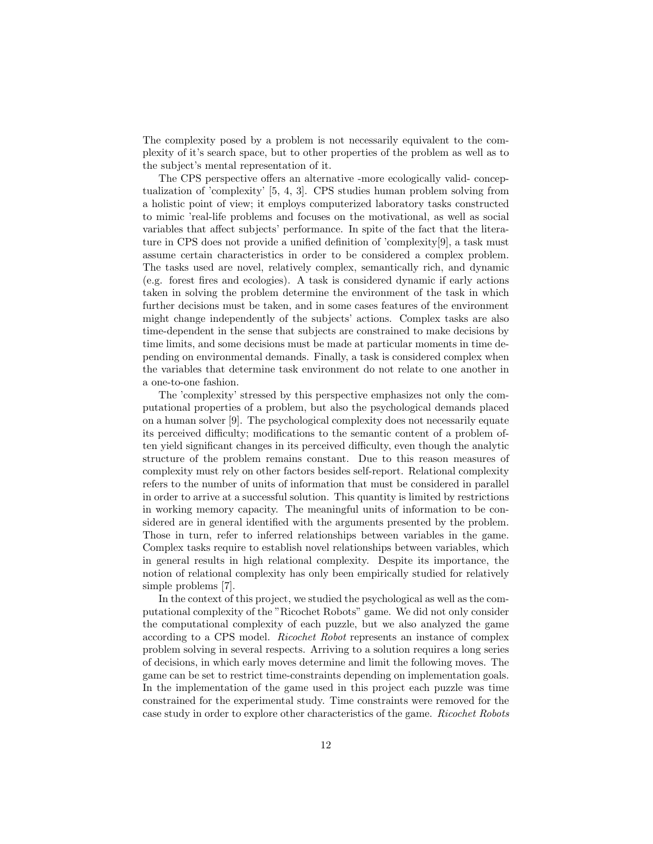The complexity posed by a problem is not necessarily equivalent to the complexity of it's search space, but to other properties of the problem as well as to the subject's mental representation of it.

The CPS perspective offers an alternative -more ecologically valid- conceptualization of 'complexity' [5, 4, 3]. CPS studies human problem solving from a holistic point of view; it employs computerized laboratory tasks constructed to mimic 'real-life problems and focuses on the motivational, as well as social variables that affect subjects' performance. In spite of the fact that the literature in CPS does not provide a unified definition of 'complexity[9], a task must assume certain characteristics in order to be considered a complex problem. The tasks used are novel, relatively complex, semantically rich, and dynamic (e.g. forest fires and ecologies). A task is considered dynamic if early actions taken in solving the problem determine the environment of the task in which further decisions must be taken, and in some cases features of the environment might change independently of the subjects' actions. Complex tasks are also time-dependent in the sense that subjects are constrained to make decisions by time limits, and some decisions must be made at particular moments in time depending on environmental demands. Finally, a task is considered complex when the variables that determine task environment do not relate to one another in a one-to-one fashion.

The 'complexity' stressed by this perspective emphasizes not only the computational properties of a problem, but also the psychological demands placed on a human solver [9]. The psychological complexity does not necessarily equate its perceived difficulty; modifications to the semantic content of a problem often yield significant changes in its perceived difficulty, even though the analytic structure of the problem remains constant. Due to this reason measures of complexity must rely on other factors besides self-report. Relational complexity refers to the number of units of information that must be considered in parallel in order to arrive at a successful solution. This quantity is limited by restrictions in working memory capacity. The meaningful units of information to be considered are in general identified with the arguments presented by the problem. Those in turn, refer to inferred relationships between variables in the game. Complex tasks require to establish novel relationships between variables, which in general results in high relational complexity. Despite its importance, the notion of relational complexity has only been empirically studied for relatively simple problems [7].

In the context of this project, we studied the psychological as well as the computational complexity of the "Ricochet Robots" game. We did not only consider the computational complexity of each puzzle, but we also analyzed the game according to a CPS model. Ricochet Robot represents an instance of complex problem solving in several respects. Arriving to a solution requires a long series of decisions, in which early moves determine and limit the following moves. The game can be set to restrict time-constraints depending on implementation goals. In the implementation of the game used in this project each puzzle was time constrained for the experimental study. Time constraints were removed for the case study in order to explore other characteristics of the game. Ricochet Robots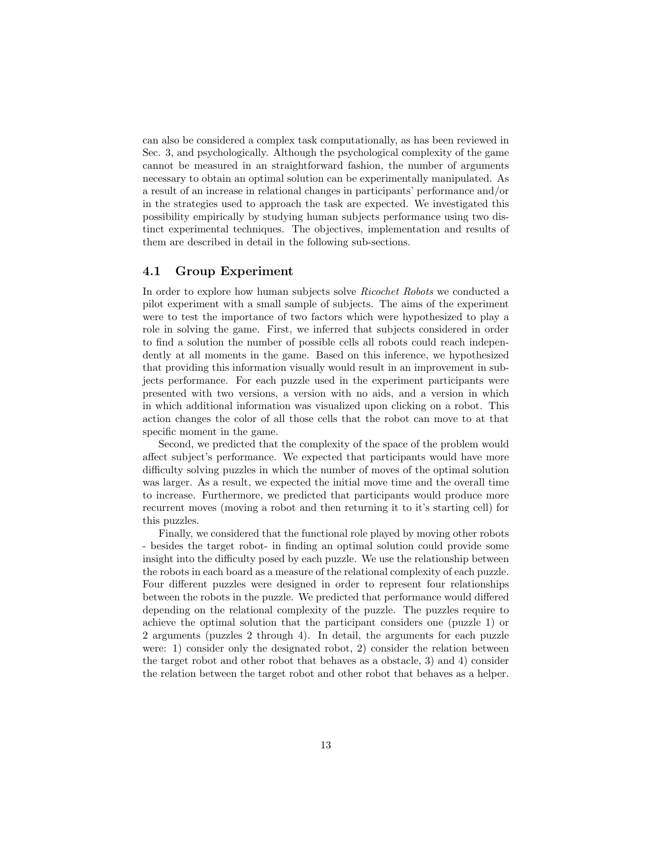can also be considered a complex task computationally, as has been reviewed in Sec. 3, and psychologically. Although the psychological complexity of the game cannot be measured in an straightforward fashion, the number of arguments necessary to obtain an optimal solution can be experimentally manipulated. As a result of an increase in relational changes in participants' performance and/or in the strategies used to approach the task are expected. We investigated this possibility empirically by studying human subjects performance using two distinct experimental techniques. The objectives, implementation and results of them are described in detail in the following sub-sections.

## 4.1 Group Experiment

In order to explore how human subjects solve Ricochet Robots we conducted a pilot experiment with a small sample of subjects. The aims of the experiment were to test the importance of two factors which were hypothesized to play a role in solving the game. First, we inferred that subjects considered in order to find a solution the number of possible cells all robots could reach independently at all moments in the game. Based on this inference, we hypothesized that providing this information visually would result in an improvement in subjects performance. For each puzzle used in the experiment participants were presented with two versions, a version with no aids, and a version in which in which additional information was visualized upon clicking on a robot. This action changes the color of all those cells that the robot can move to at that specific moment in the game.

Second, we predicted that the complexity of the space of the problem would affect subject's performance. We expected that participants would have more difficulty solving puzzles in which the number of moves of the optimal solution was larger. As a result, we expected the initial move time and the overall time to increase. Furthermore, we predicted that participants would produce more recurrent moves (moving a robot and then returning it to it's starting cell) for this puzzles.

Finally, we considered that the functional role played by moving other robots - besides the target robot- in finding an optimal solution could provide some insight into the difficulty posed by each puzzle. We use the relationship between the robots in each board as a measure of the relational complexity of each puzzle. Four different puzzles were designed in order to represent four relationships between the robots in the puzzle. We predicted that performance would differed depending on the relational complexity of the puzzle. The puzzles require to achieve the optimal solution that the participant considers one (puzzle 1) or 2 arguments (puzzles 2 through 4). In detail, the arguments for each puzzle were: 1) consider only the designated robot, 2) consider the relation between the target robot and other robot that behaves as a obstacle, 3) and 4) consider the relation between the target robot and other robot that behaves as a helper.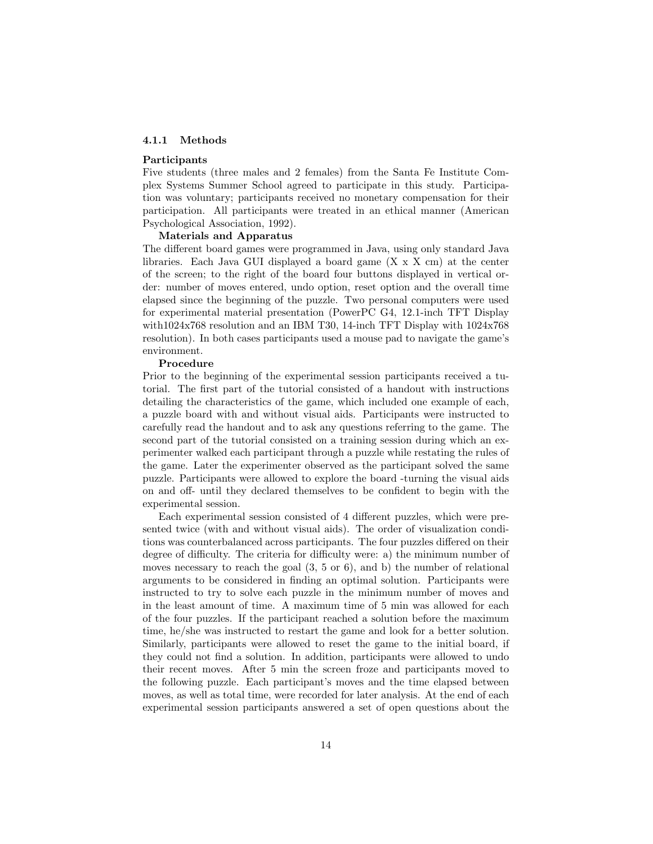## 4.1.1 Methods

#### Participants

Five students (three males and 2 females) from the Santa Fe Institute Complex Systems Summer School agreed to participate in this study. Participation was voluntary; participants received no monetary compensation for their participation. All participants were treated in an ethical manner (American Psychological Association, 1992).

#### Materials and Apparatus

The different board games were programmed in Java, using only standard Java libraries. Each Java GUI displayed a board game (X x X cm) at the center of the screen; to the right of the board four buttons displayed in vertical order: number of moves entered, undo option, reset option and the overall time elapsed since the beginning of the puzzle. Two personal computers were used for experimental material presentation (PowerPC G4, 12.1-inch TFT Display with1024x768 resolution and an IBM T30, 14-inch TFT Display with  $1024x768$ resolution). In both cases participants used a mouse pad to navigate the game's environment.

#### Procedure

Prior to the beginning of the experimental session participants received a tutorial. The first part of the tutorial consisted of a handout with instructions detailing the characteristics of the game, which included one example of each, a puzzle board with and without visual aids. Participants were instructed to carefully read the handout and to ask any questions referring to the game. The second part of the tutorial consisted on a training session during which an experimenter walked each participant through a puzzle while restating the rules of the game. Later the experimenter observed as the participant solved the same puzzle. Participants were allowed to explore the board -turning the visual aids on and off- until they declared themselves to be confident to begin with the experimental session.

Each experimental session consisted of 4 different puzzles, which were presented twice (with and without visual aids). The order of visualization conditions was counterbalanced across participants. The four puzzles differed on their degree of difficulty. The criteria for difficulty were: a) the minimum number of moves necessary to reach the goal  $(3, 5 \text{ or } 6)$ , and b) the number of relational arguments to be considered in finding an optimal solution. Participants were instructed to try to solve each puzzle in the minimum number of moves and in the least amount of time. A maximum time of 5 min was allowed for each of the four puzzles. If the participant reached a solution before the maximum time, he/she was instructed to restart the game and look for a better solution. Similarly, participants were allowed to reset the game to the initial board, if they could not find a solution. In addition, participants were allowed to undo their recent moves. After 5 min the screen froze and participants moved to the following puzzle. Each participant's moves and the time elapsed between moves, as well as total time, were recorded for later analysis. At the end of each experimental session participants answered a set of open questions about the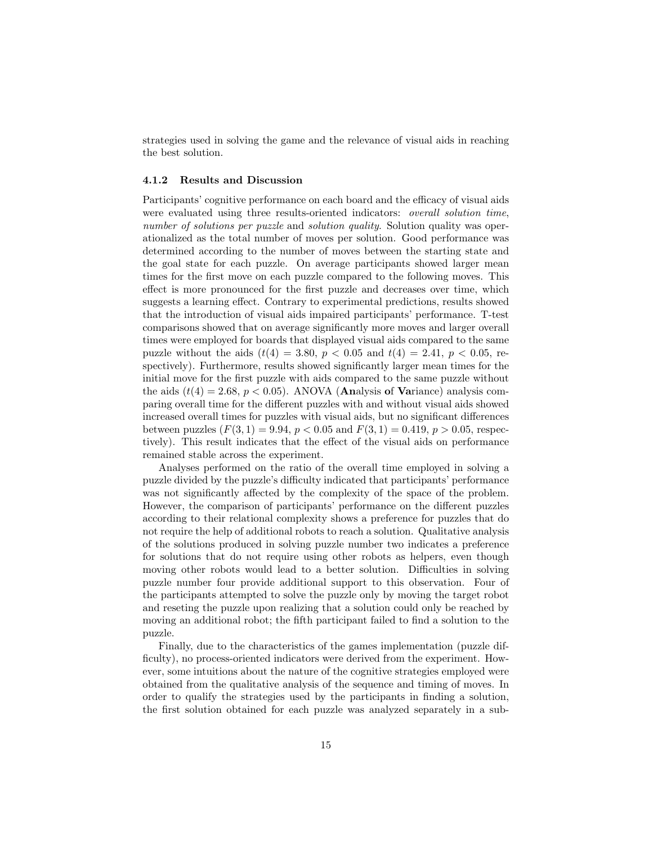strategies used in solving the game and the relevance of visual aids in reaching the best solution.

## 4.1.2 Results and Discussion

Participants' cognitive performance on each board and the efficacy of visual aids were evaluated using three results-oriented indicators: overall solution time, number of solutions per puzzle and solution quality. Solution quality was operationalized as the total number of moves per solution. Good performance was determined according to the number of moves between the starting state and the goal state for each puzzle. On average participants showed larger mean times for the first move on each puzzle compared to the following moves. This effect is more pronounced for the first puzzle and decreases over time, which suggests a learning effect. Contrary to experimental predictions, results showed that the introduction of visual aids impaired participants' performance. T-test comparisons showed that on average significantly more moves and larger overall times were employed for boards that displayed visual aids compared to the same puzzle without the aids  $(t(4) = 3.80, p < 0.05$  and  $t(4) = 2.41, p < 0.05$ , respectively). Furthermore, results showed significantly larger mean times for the initial move for the first puzzle with aids compared to the same puzzle without the aids  $(t(4) = 2.68, p < 0.05)$ . ANOVA (**Analysis of Variance**) analysis comparing overall time for the different puzzles with and without visual aids showed increased overall times for puzzles with visual aids, but no significant differences between puzzles  $(F(3, 1) = 9.94, p < 0.05 \text{ and } F(3, 1) = 0.419, p > 0.05$ , respectively). This result indicates that the effect of the visual aids on performance remained stable across the experiment.

Analyses performed on the ratio of the overall time employed in solving a puzzle divided by the puzzle's difficulty indicated that participants' performance was not significantly affected by the complexity of the space of the problem. However, the comparison of participants' performance on the different puzzles according to their relational complexity shows a preference for puzzles that do not require the help of additional robots to reach a solution. Qualitative analysis of the solutions produced in solving puzzle number two indicates a preference for solutions that do not require using other robots as helpers, even though moving other robots would lead to a better solution. Difficulties in solving puzzle number four provide additional support to this observation. Four of the participants attempted to solve the puzzle only by moving the target robot and reseting the puzzle upon realizing that a solution could only be reached by moving an additional robot; the fifth participant failed to find a solution to the puzzle.

Finally, due to the characteristics of the games implementation (puzzle difficulty), no process-oriented indicators were derived from the experiment. However, some intuitions about the nature of the cognitive strategies employed were obtained from the qualitative analysis of the sequence and timing of moves. In order to qualify the strategies used by the participants in finding a solution, the first solution obtained for each puzzle was analyzed separately in a sub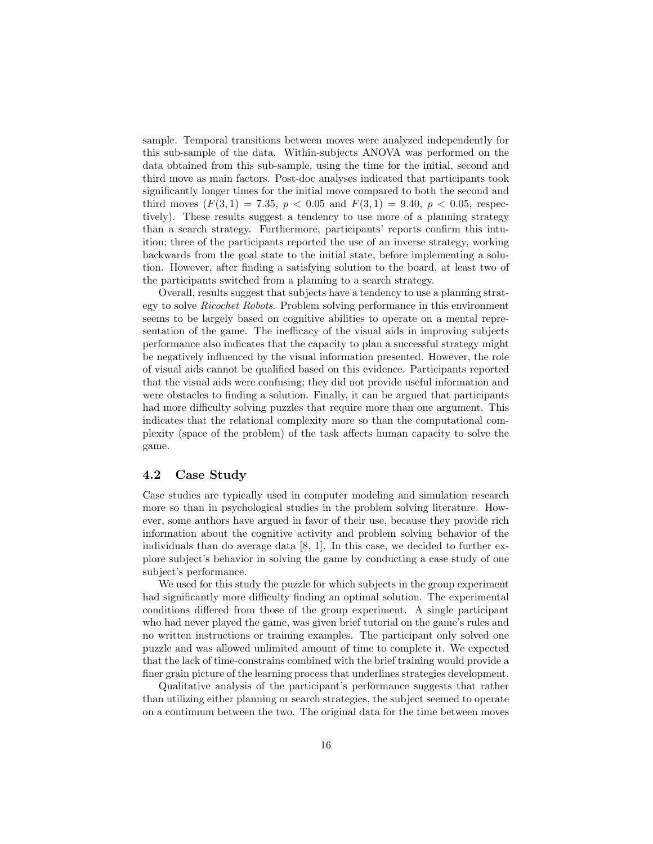sample. Temporal transitions between moves were analyzed independently for this sub-sample of the data. Within-subjects ANOVA was performed on the data obtained from this sub-sample, using the time for the initial, second and third move as main factors. Post-doc analyses indicated that participants took significantly longer times for the initial move compared to both the second and third moves  $(F(3, 1) = 7.35, p < 0.05 \text{ and } F(3, 1) = 9.40, p < 0.05, \text{ respec-}$ tively). These results suggest a tendency to use more of a planning strategy than a search strategy. Furthermore, participants' reports confirm this intuition; three of the participants reported the use of an inverse strategy, working backwards from the goal state to the initial state, before implementing a solution. However, after finding a satisfying solution to the board, at least two of the participants switched from a planning to a search strategy.

Overall, results suggest that subjects have a tendency to use a planning strategy to solve Ricochet Robots. Problem solving performance in this environment seems to be largely based on cognitive abilities to operate on a mental representation of the game. The inefficacy of the visual aids in improving subjects performance also indicates that the capacity to plan a successful strategy might be negatively influenced by the visual information presented. However, the role of visual aids cannot be qualified based on this evidence. Participants reported that the visual aids were confusing; they did not provide useful information and were obstacles to finding a solution. Finally, it can be argued that participants had more difficulty solving puzzles that require more than one argument. This indicates that the relational complexity more so than the computational complexity (space of the problem) of the task affects human capacity to solve the game.

## 4.2 Case Study

Case studies are typically used in computer modeling and simulation research more so than in psychological studies in the problem solving literature. However, some authors have argued in favor of their use, because they provide rich information about the cognitive activity and problem solving behavior of the individuals than do average data  $[8, 1]$ . In this case, we decided to further explore subject's behavior in solving the game by conducting a case study of one subject's performance.

We used for this study the puzzle for which subjects in the group experiment had significantly more difficulty finding an optimal solution. The experimental conditions differed from those of the group experiment. A single participant who had never played the game, was given brief tutorial on the game's rules and no written instructions or training examples. The participant only solved one puzzle and was allowed unlimited amount of time to complete it. We expected that the lack of time-constrains combined with the brief training would provide a finer grain picture of the learning process that underlines strategies development.

Qualitative analysis of the participant's performance suggests that rather than utilizing either planning or search strategies, the subject seemed to operate on a continuum between the two. The original data for the time between moves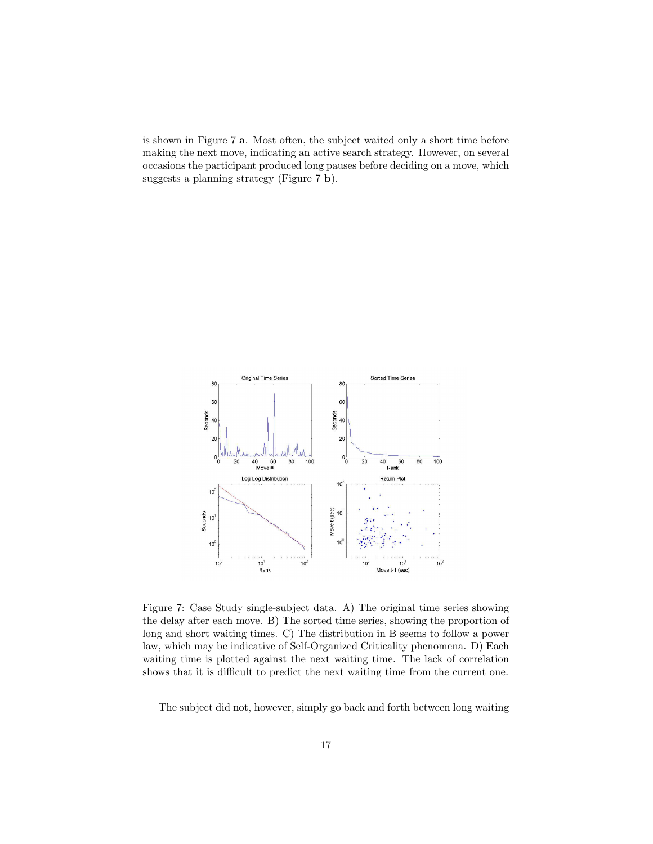is shown in Figure 7 a. Most often, the subject waited only a short time before making the next move, indicating an active search strategy. However, on several occasions the participant produced long pauses before deciding on a move, which suggests a planning strategy (Figure 7 b).



Figure 7: Case Study single-subject data. A) The original time series showing the delay after each move. B) The sorted time series, showing the proportion of long and short waiting times. C) The distribution in B seems to follow a power law, which may be indicative of Self-Organized Criticality phenomena. D) Each waiting time is plotted against the next waiting time. The lack of correlation shows that it is difficult to predict the next waiting time from the current one.

The subject did not, however, simply go back and forth between long waiting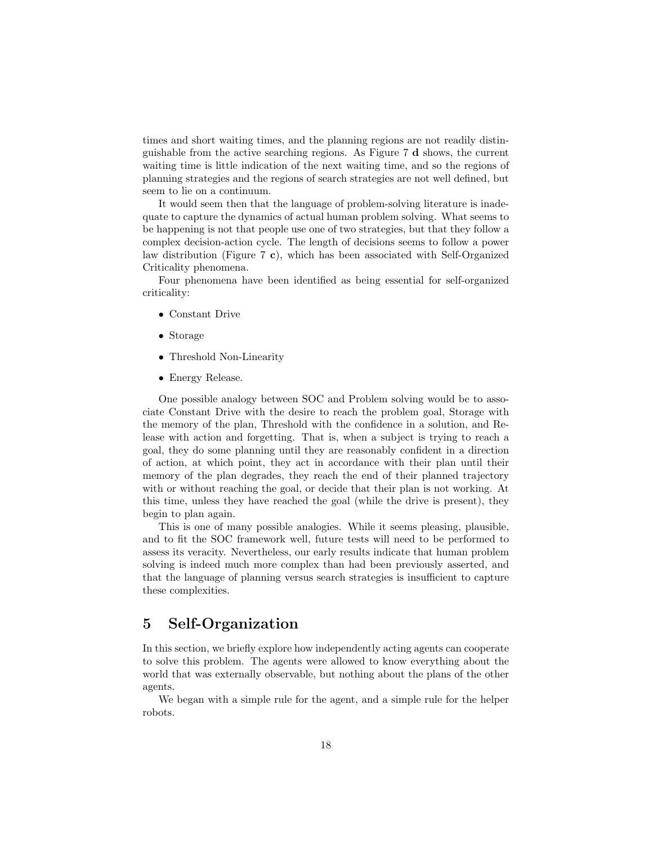times and short waiting times, and the planning regions are not readily distinguishable from the active searching regions. As Figure 7 d shows, the current waiting time is little indication of the next waiting time, and so the regions of planning strategies and the regions of search strategies are not well defined, but seem to lie on a continuum.

It would seem then that the language of problem-solving literature is inadequate to capture the dynamics of actual human problem solving. What seems to be happening is not that people use one of two strategies, but that they follow a complex decision-action cycle. The length of decisions seems to follow a power law distribution (Figure 7 c), which has been associated with Self-Organized Criticality phenomena.

Four phenomena have been identified as being essential for self-organized criticality:

- Constant Drive
- Storage
- Threshold Non-Linearity
- Energy Release.

One possible analogy between SOC and Problem solving would be to associate Constant Drive with the desire to reach the problem goal, Storage with the memory of the plan, Threshold with the confidence in a solution, and Release with action and forgetting. That is, when a subject is trying to reach a goal, they do some planning until they are reasonably confident in a direction of action, at which point, they act in accordance with their plan until their memory of the plan degrades, they reach the end of their planned trajectory with or without reaching the goal, or decide that their plan is not working. At this time, unless they have reached the goal (while the drive is present), they begin to plan again.

This is one of many possible analogies. While it seems pleasing, plausible, and to fit the SOC framework well, future tests will need to be performed to assess its veracity. Nevertheless, our early results indicate that human problem solving is indeed much more complex than had been previously asserted, and that the language of planning versus search strategies is insufficient to capture these complexities.

# 5 Self-Organization

In this section, we briefly explore how independently acting agents can cooperate to solve this problem. The agents were allowed to know everything about the world that was externally observable, but nothing about the plans of the other agents.

We began with a simple rule for the agent, and a simple rule for the helper robots.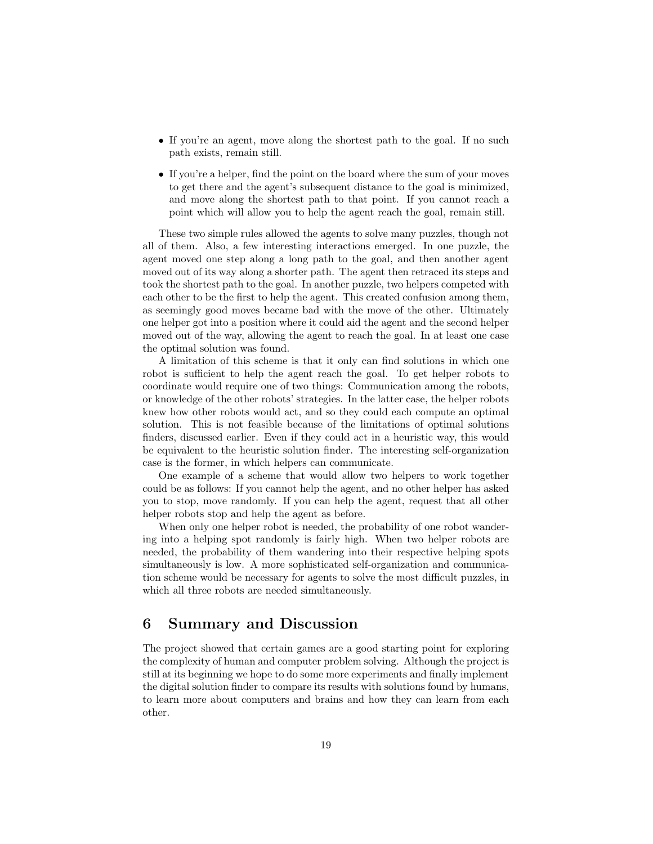- If you're an agent, move along the shortest path to the goal. If no such path exists, remain still.
- If you're a helper, find the point on the board where the sum of your moves to get there and the agent's subsequent distance to the goal is minimized, and move along the shortest path to that point. If you cannot reach a point which will allow you to help the agent reach the goal, remain still.

These two simple rules allowed the agents to solve many puzzles, though not all of them. Also, a few interesting interactions emerged. In one puzzle, the agent moved one step along a long path to the goal, and then another agent moved out of its way along a shorter path. The agent then retraced its steps and took the shortest path to the goal. In another puzzle, two helpers competed with each other to be the first to help the agent. This created confusion among them, as seemingly good moves became bad with the move of the other. Ultimately one helper got into a position where it could aid the agent and the second helper moved out of the way, allowing the agent to reach the goal. In at least one case the optimal solution was found.

A limitation of this scheme is that it only can find solutions in which one robot is sufficient to help the agent reach the goal. To get helper robots to coordinate would require one of two things: Communication among the robots, or knowledge of the other robots' strategies. In the latter case, the helper robots knew how other robots would act, and so they could each compute an optimal solution. This is not feasible because of the limitations of optimal solutions finders, discussed earlier. Even if they could act in a heuristic way, this would be equivalent to the heuristic solution finder. The interesting self-organization case is the former, in which helpers can communicate.

One example of a scheme that would allow two helpers to work together could be as follows: If you cannot help the agent, and no other helper has asked you to stop, move randomly. If you can help the agent, request that all other helper robots stop and help the agent as before.

When only one helper robot is needed, the probability of one robot wandering into a helping spot randomly is fairly high. When two helper robots are needed, the probability of them wandering into their respective helping spots simultaneously is low. A more sophisticated self-organization and communication scheme would be necessary for agents to solve the most difficult puzzles, in which all three robots are needed simultaneously.

# 6 Summary and Discussion

The project showed that certain games are a good starting point for exploring the complexity of human and computer problem solving. Although the project is still at its beginning we hope to do some more experiments and finally implement the digital solution finder to compare its results with solutions found by humans, to learn more about computers and brains and how they can learn from each other.